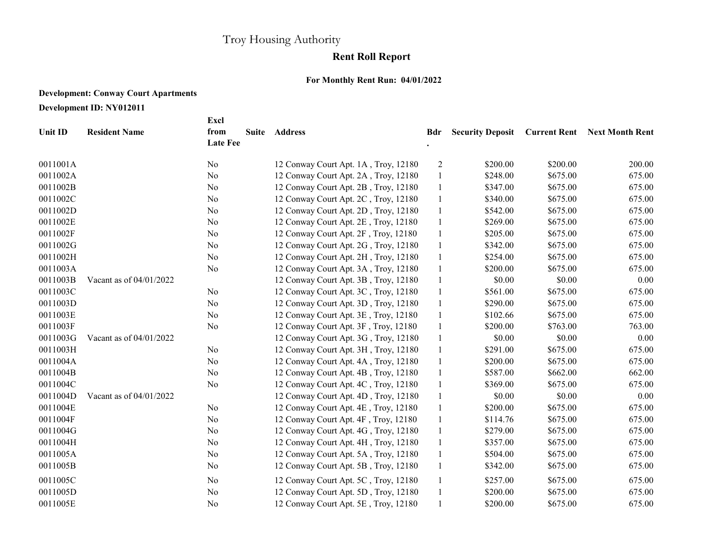## Troy Housing Authority

## Rent Roll Report

## For Monthly Rent Run: 04/01/2022

## Development: Conway Court Apartments

Development ID: NY012011

|          |                         | Excl                    |       |                                      |              |                         |                     |                        |
|----------|-------------------------|-------------------------|-------|--------------------------------------|--------------|-------------------------|---------------------|------------------------|
| Unit ID  | <b>Resident Name</b>    | from<br><b>Late Fee</b> | Suite | <b>Address</b>                       | Bdr          | <b>Security Deposit</b> | <b>Current Rent</b> | <b>Next Month Rent</b> |
| 0011001A |                         | N <sub>o</sub>          |       | 12 Conway Court Apt. 1A, Troy, 12180 | 2            | \$200.00                | \$200.00            | 200.00                 |
| 0011002A |                         | No                      |       | 12 Conway Court Apt. 2A, Troy, 12180 | $\mathbf{1}$ | \$248.00                | \$675.00            | 675.00                 |
| 0011002B |                         | N <sub>o</sub>          |       | 12 Conway Court Apt. 2B, Troy, 12180 | $\mathbf{1}$ | \$347.00                | \$675.00            | 675.00                 |
| 0011002C |                         | N <sub>o</sub>          |       | 12 Conway Court Apt. 2C, Troy, 12180 | $\mathbf{1}$ | \$340.00                | \$675.00            | 675.00                 |
| 0011002D |                         | No                      |       | 12 Conway Court Apt. 2D, Troy, 12180 | $\mathbf{1}$ | \$542.00                | \$675.00            | 675.00                 |
| 0011002E |                         | N <sub>o</sub>          |       | 12 Conway Court Apt. 2E, Troy, 12180 | -1           | \$269.00                | \$675.00            | 675.00                 |
| 0011002F |                         | N <sub>o</sub>          |       | 12 Conway Court Apt. 2F, Troy, 12180 | $\mathbf{1}$ | \$205.00                | \$675.00            | 675.00                 |
| 0011002G |                         | No                      |       | 12 Conway Court Apt. 2G, Troy, 12180 | $\mathbf{1}$ | \$342.00                | \$675.00            | 675.00                 |
| 0011002H |                         | No                      |       | 12 Conway Court Apt. 2H, Troy, 12180 | $\mathbf{1}$ | \$254.00                | \$675.00            | 675.00                 |
| 0011003A |                         | No                      |       | 12 Conway Court Apt. 3A, Troy, 12180 | $\mathbf{1}$ | \$200.00                | \$675.00            | 675.00                 |
| 0011003B | Vacant as of 04/01/2022 |                         |       | 12 Conway Court Apt. 3B, Troy, 12180 | $\mathbf{1}$ | \$0.00                  | \$0.00              | 0.00                   |
| 0011003C |                         | No                      |       | 12 Conway Court Apt. 3C, Troy, 12180 | $\mathbf{1}$ | \$561.00                | \$675.00            | 675.00                 |
| 0011003D |                         | No                      |       | 12 Conway Court Apt. 3D, Troy, 12180 | $\mathbf{1}$ | \$290.00                | \$675.00            | 675.00                 |
| 0011003E |                         | N <sub>o</sub>          |       | 12 Conway Court Apt. 3E, Troy, 12180 | $\mathbf{1}$ | \$102.66                | \$675.00            | 675.00                 |
| 0011003F |                         | No                      |       | 12 Conway Court Apt. 3F, Troy, 12180 | $\mathbf{1}$ | \$200.00                | \$763.00            | 763.00                 |
| 0011003G | Vacant as of 04/01/2022 |                         |       | 12 Conway Court Apt. 3G, Troy, 12180 | $\mathbf{1}$ | \$0.00                  | \$0.00              | 0.00                   |
| 0011003H |                         | No                      |       | 12 Conway Court Apt. 3H, Troy, 12180 | $\mathbf{1}$ | \$291.00                | \$675.00            | 675.00                 |
| 0011004A |                         | No                      |       | 12 Conway Court Apt. 4A, Troy, 12180 | $\mathbf{1}$ | \$200.00                | \$675.00            | 675.00                 |
| 0011004B |                         | No                      |       | 12 Conway Court Apt. 4B, Troy, 12180 | $\mathbf{1}$ | \$587.00                | \$662.00            | 662.00                 |
| 0011004C |                         | No                      |       | 12 Conway Court Apt. 4C, Troy, 12180 | $\mathbf{1}$ | \$369.00                | \$675.00            | 675.00                 |
| 0011004D | Vacant as of 04/01/2022 |                         |       | 12 Conway Court Apt. 4D, Troy, 12180 | $\mathbf{1}$ | \$0.00                  | \$0.00              | $0.00\,$               |
| 0011004E |                         | No                      |       | 12 Conway Court Apt. 4E, Troy, 12180 | $\mathbf{1}$ | \$200.00                | \$675.00            | 675.00                 |
| 0011004F |                         | N <sub>o</sub>          |       | 12 Conway Court Apt. 4F, Troy, 12180 | $\mathbf{1}$ | \$114.76                | \$675.00            | 675.00                 |
| 0011004G |                         | No                      |       | 12 Conway Court Apt. 4G, Troy, 12180 | $\mathbf{1}$ | \$279.00                | \$675.00            | 675.00                 |
| 0011004H |                         | No                      |       | 12 Conway Court Apt. 4H, Troy, 12180 | $\mathbf{1}$ | \$357.00                | \$675.00            | 675.00                 |
| 0011005A |                         | No                      |       | 12 Conway Court Apt. 5A, Troy, 12180 | $\mathbf{1}$ | \$504.00                | \$675.00            | 675.00                 |
| 0011005B |                         | N <sub>o</sub>          |       | 12 Conway Court Apt. 5B, Troy, 12180 | -1           | \$342.00                | \$675.00            | 675.00                 |
| 0011005C |                         | N <sub>o</sub>          |       | 12 Conway Court Apt. 5C, Troy, 12180 | -1           | \$257.00                | \$675.00            | 675.00                 |
| 0011005D |                         | No                      |       | 12 Conway Court Apt. 5D, Troy, 12180 | $\mathbf{1}$ | \$200.00                | \$675.00            | 675.00                 |
| 0011005E |                         | N <sub>o</sub>          |       | 12 Conway Court Apt. 5E, Troy, 12180 |              | \$200.00                | \$675.00            | 675.00                 |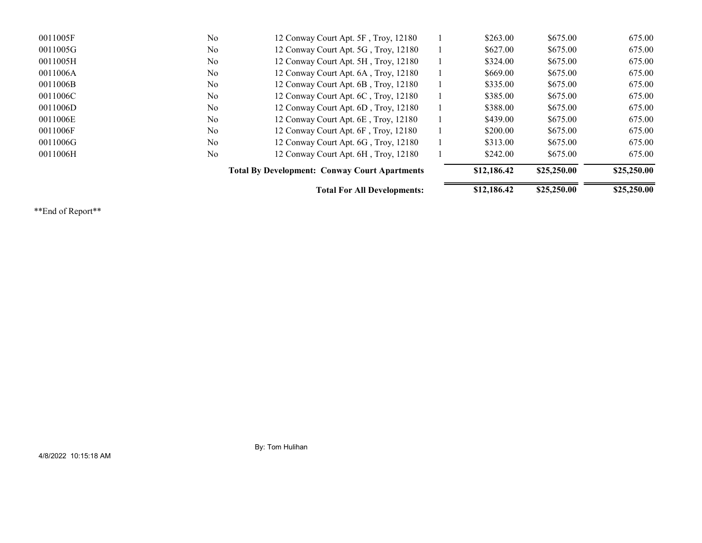|          |                | <b>Total For All Developments:</b>                   |  | \$12,186.42 | \$25,250.00 | \$25,250.00 |
|----------|----------------|------------------------------------------------------|--|-------------|-------------|-------------|
|          |                | <b>Total By Development: Conway Court Apartments</b> |  | \$12,186.42 | \$25,250.00 | \$25,250.00 |
| 0011006H | N <sub>o</sub> | 12 Conway Court Apt. 6H, Troy, 12180                 |  | \$242.00    | \$675.00    | 675.00      |
| 0011006G | N <sub>o</sub> | 12 Conway Court Apt. 6G, Troy, 12180                 |  | \$313.00    | \$675.00    | 675.00      |
| 0011006F | N <sub>o</sub> | 12 Conway Court Apt. 6F, Troy, 12180                 |  | \$200.00    | \$675.00    | 675.00      |
| 0011006E | N <sub>o</sub> | 12 Conway Court Apt. 6E, Troy, 12180                 |  | \$439.00    | \$675.00    | 675.00      |
| 0011006D | No.            | 12 Conway Court Apt. 6D, Troy, 12180                 |  | \$388.00    | \$675.00    | 675.00      |
| 0011006C | N <sub>0</sub> | 12 Conway Court Apt. 6C, Troy, 12180                 |  | \$385.00    | \$675.00    | 675.00      |
| 0011006B | N <sub>o</sub> | 12 Conway Court Apt. 6B, Troy, 12180                 |  | \$335.00    | \$675.00    | 675.00      |
| 0011006A | N <sub>o</sub> | 12 Conway Court Apt. 6A, Troy, 12180                 |  | \$669.00    | \$675.00    | 675.00      |
| 0011005H | N <sub>o</sub> | 12 Conway Court Apt. 5H, Troy, 12180                 |  | \$324.00    | \$675.00    | 675.00      |
| 0011005G | N <sub>o</sub> | 12 Conway Court Apt. 5G, Troy, 12180                 |  | \$627.00    | \$675.00    | 675.00      |
| 0011005F | N <sub>o</sub> | 12 Conway Court Apt. 5F, Troy, 12180                 |  | \$263.00    | \$675.00    | 675.00      |

\*\*End of Report\*\*

By: Tom Hulihan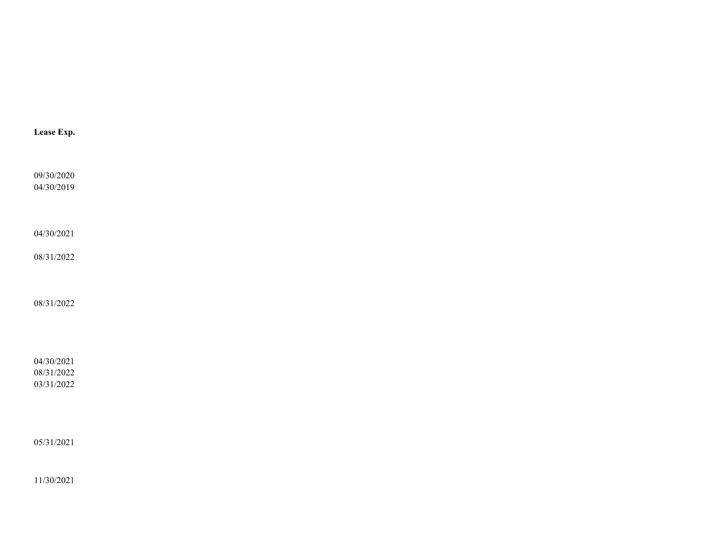| Lease Exp. |  |  |  |
|------------|--|--|--|
|            |  |  |  |
| 09/30/2020 |  |  |  |
| 04/30/2019 |  |  |  |
|            |  |  |  |
|            |  |  |  |
| 04/30/2021 |  |  |  |
| 08/31/2022 |  |  |  |
|            |  |  |  |
|            |  |  |  |
| 08/31/2022 |  |  |  |
|            |  |  |  |
|            |  |  |  |
|            |  |  |  |
| 04/30/2021 |  |  |  |
| 08/31/2022 |  |  |  |
| 03/31/2022 |  |  |  |
|            |  |  |  |
|            |  |  |  |
| 05/31/2021 |  |  |  |
|            |  |  |  |

11/30/2021